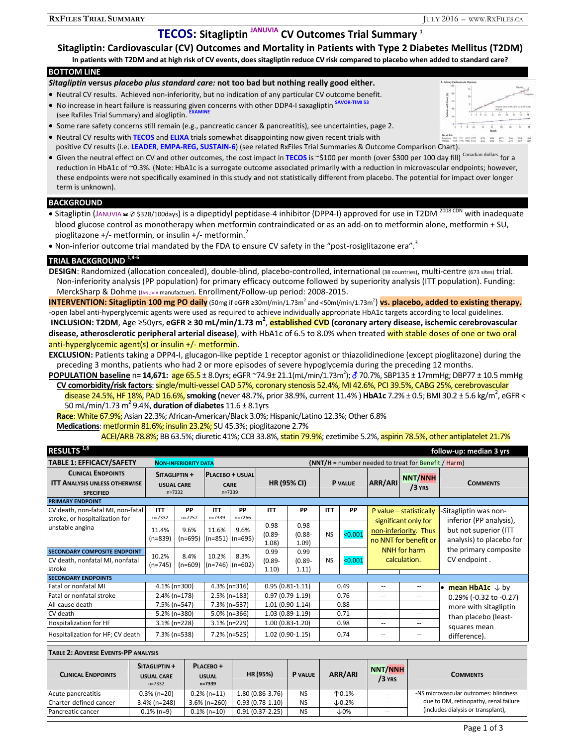# **TECOS: Sitagliptin JANUVIA CV Outcomes Trial Summary 1**

### **BOTTOM LINE**

### *Sitagliptin* **versus** *placebo plus standard care:* **not too bad but nothing really good either.**

- Neutral CV results. Achieved non-inferiority, but no indication of any particular CV outcome benefit.
- No increase in heart failure is reassuring given concerns with other DDP4-I saxagliptin <sup>SAVOR-TIMI 53</sup> (see RxFiles Trial Summary) and alogliptin.
- Some rare safety concerns still remain (e.g., pancreatic cancer & pancreatitis), see uncertainties, page 2. Neutral CV results with **TECOS** and **ELIXA** trials somewhat disappointing now given recent trials with



 positive CV results (i.e. **LEADER**, **EMPA-REG, SUSTAIN-6**) (see related RxFiles Trial Summaries & Outcome Comparison Chart). Given the neutral effect on CV and other outcomes, the cost impact in TECOS is ~\$100 per month (over \$300 per 100 day fill) Canadian dollars for a reduction in HbA1c of ~0.3%. (Note: HbA1c is a surrogate outcome associated primarily with a reduction in microvascular endpoints; however, these endpoints were not specifically examined in this study and not statistically different from placebo. The potential for impact over longer

# **BACKGROUND**

term is unknown).

- Sitagliptin (JANUVIA  $\approx$  \$328/100days) is a dipeptidyl peptidase-4 inhibitor (DPP4-I) approved for use in T2DM 2008 CDN with inadequate blood glucose control as monotherapy when metformin contraindicated or as an add-on to metformin alone, metformin + SU, pioglitazone +/- metformin, or insulin +/- metformin.<sup>2</sup>
- Non-inferior outcome trial mandated by the FDA to ensure CV safety in the "post-rosiglitazone era".<sup>3</sup>

# **TRIAL BACKGROUND 1,4-6**

DESIGN: Randomized (allocation concealed), double-blind, placebo-controlled, international (38 countries), multi-centre (673 sites) trial. Non-inferiority analysis (PP population) for primary efficacy outcome followed by superiority analysis (ITT population). Funding: MerckSharp & Dohme (JANUVIA manufactuer). Enrollment/Follow-up period: 2008-2015.

**INTERVENTION: Sitagliptin 100 mg PO daily** (50mg if eGFR ≥30ml/min/1.73m<sup>2</sup> and <50ml/min/1.73m<sup>2</sup>) <mark>vs. placebo, added to existing therapy.</mark> -open label anti-hyperglycemic agents were used as required to achieve individually appropriate HbA1c targets according to local guidelines. **INCLUSION: T2DM**, Age ≥50yrs, **eGFR ≥ 30 mL/min/1.73 m<sup>2</sup>** , **established CVD (coronary artery disease, ischemic cerebrovascular disease, atherosclerotic peripheral arterial disease)**, with HbA1c of 6.5 to 8.0% when treated with stable doses of one or two oral anti-hyperglycemic agent(s) or insulin +/- metformin.

**EXCLUSION:** Patients taking a DPP4-I, glucagon-like peptide 1 receptor agonist or thiazolidinedione (except pioglitazone) during the preceding 3 months, patients who had 2 or more episodes of severe hypoglycemia during the preceding 12 months.

**POPULATION baseline** n**= 14,671:** age 65.5 ± 8.0yrs; eGFR ~74.9± 21.1(mL/min/1.73m2 ); 70.7%, SBP135 ± 17mmHg; DBP77 ± 10.5 mmHg **CV comorbidity/risk factors**: single/multi-vessel CAD 57%, coronary stenosis 52.4%, MI 42.6%, PCI 39.5%, CABG 25%, cerebrovascular

disease 24.5%, HF 18%, PAD 16.6%, smoking (never 48.7%, prior 38.9%, current 11.4% ) **HbA1c** 7.2% ± 0.5; BMI 30.2 ± 5.6 kg/m<sup>2</sup>, eGFR < 50 mL/min/1.73 m2 9.4%, **duration of diabetes** 11.6 ± 8.1yrs

**Race**: White 67.9%; Asian 22.3%; African-American/Black 3.0%; Hispanic/Latino 12.3%; Other 6.8%

**Medications**: metformin 81.6%; insulin 23.2%; SU 45.3%; pioglitazone 2.7%

ACEI/ARB 78.8%; BB 63.5%; diuretic 41%; CCB 33.8%, statin 79.9%; ezetimibe 5.2%, aspirin 78.5%, other antiplatelet 21.7%

| RESULTS <sup>1,6</sup>               |                                                  |                             |                                                     |                 |                                                        |                   |                |         |                       |                          | follow-up: median 3 yrs               |  |
|--------------------------------------|--------------------------------------------------|-----------------------------|-----------------------------------------------------|-----------------|--------------------------------------------------------|-------------------|----------------|---------|-----------------------|--------------------------|---------------------------------------|--|
| <b>TABLE 1: EFFICACY/SAFETY</b>      |                                                  | <b>NON-INFERIORITY DATA</b> |                                                     |                 | $\{NNT/H =$ number needed to treat for Benefit / Harm} |                   |                |         |                       |                          |                                       |  |
| <b>CLINICAL ENDPOINTS</b>            | SITAGLIPTIN +<br><b>USUAL CARE</b><br>$n = 7332$ |                             | <b>PLACEBO + USUAL</b><br><b>CARE</b><br>$n = 7339$ |                 | <b>HR (95% CI)</b>                                     |                   | <b>P</b> VALUE |         | ARR/ARI               | <b>NNT/NNH</b><br>/3 YRS | <b>COMMENTS</b>                       |  |
| <b>ITT ANALYSIS UNLESS OTHERWISE</b> |                                                  |                             |                                                     |                 |                                                        |                   |                |         |                       |                          |                                       |  |
| <b>SPECIFIED</b>                     |                                                  |                             |                                                     |                 |                                                        |                   |                |         |                       |                          |                                       |  |
| <b>PRIMARY ENDPOINT</b>              |                                                  |                             |                                                     |                 |                                                        |                   |                |         |                       |                          |                                       |  |
| CV death, non-fatal MI, non-fatal    | <b>ITT</b>                                       | PP                          | <b>ITT</b>                                          | PP              | <b>ITT</b>                                             | PP                | <b>ITT</b>     | PP      |                       | P value - statistically  | -Sitagliptin was non-                 |  |
| stroke, or hospitalization for       | $n = 7332$                                       | $n = 7257$                  | n=7339                                              | $n = 7266$      |                                                        |                   |                |         | significant only for  |                          | inferior (PP analysis),               |  |
| unstable angina                      | 11.4%                                            | 9.6%                        | 11.6%                                               | 9.6%            | 0.98                                                   | 0.98              |                |         |                       | non-inferiority. Thus    | but not superior (ITT                 |  |
|                                      | $(n=839)$                                        | $(n=695)$                   | $(n=851)$ $(n=695)$                                 |                 | $(0.89 -$                                              | $(0.88 -$         | <b>NS</b>      | < 0.001 |                       |                          | analysis) to placebo for              |  |
|                                      |                                                  |                             |                                                     |                 | 1.08)                                                  | 1.09              |                |         | no NNT for benefit or |                          |                                       |  |
| <b>SECONDARY COMPOSITE ENDPOINT</b>  | 10.2%                                            | 8.4%                        | 10.2%<br>$(n=746)$ (n=602)                          | 8.3%            | 0.99                                                   | 0.99              |                |         |                       | NNH for harm             | the primary composite<br>CV endpoint. |  |
| CV death, nonfatal MI, nonfatal      | $(n=745)$                                        | $(n=609)$                   |                                                     |                 | $(0.89 -$                                              | $(0.89 -$         | <b>NS</b>      | < 0.001 |                       | calculation.             |                                       |  |
| stroke                               |                                                  |                             |                                                     |                 | 1.10)                                                  | 1.11)             |                |         |                       |                          |                                       |  |
| <b>SECONDARY ENDPOINTS</b>           |                                                  |                             |                                                     |                 |                                                        |                   |                |         |                       |                          |                                       |  |
| Fatal or nonfatal MI                 |                                                  | 4.1% (n=300)                | $4.3\%$ (n=316)                                     |                 | $0.95(0.81 - 1.11)$                                    |                   | 0.49           |         | --                    | $- -$                    | • mean HbA1c $\downarrow$ by          |  |
| Fatal or nonfatal stroke             |                                                  | $2.4\%$ (n=178)             |                                                     | $2.5\%$ (n=183) |                                                        | $0.97(0.79-1.19)$ |                | 0.76    | $- -$                 | $- -$                    | $0.29\%$ (-0.32 to -0.27)             |  |
| All-cause death                      | 7.5% (n=547)                                     |                             | 7.3% (n=537)                                        |                 | $1.01(0.90-1.14)$                                      |                   | 0.88           |         | --                    | $- -$                    | more with sitagliptin                 |  |
| CV death                             |                                                  | 5.2% (n=380)                | $5.0\%$ (n=366)                                     |                 | $1.03(0.89-1.19)$                                      |                   | 0.71           |         | $- -$                 | $- -$                    | than placebo (least-                  |  |
| Hospitalization for HF               |                                                  | $3.1\%$ (n=228)             |                                                     | 3.1% (n=229)    |                                                        | $1.00(0.83-1.20)$ |                | 0.98    | $- -$                 | $- -$                    | squares mean                          |  |
| Hospitalization for HF; CV death     |                                                  | 7.3% (n=538)                |                                                     | 7.2% (n=525)    | $1.02(0.90-1.15)$                                      |                   |                | 0.74    |                       |                          | difference).                          |  |

#### **TABLE 2: ADVERSE EVENTS-PP ANALYSIS**

| <b>CLINICAL ENDPOINTS</b> | SITAGLIPTIN +<br><b>USUAL CARE</b><br>$n = 7332$ | PLACEBO <sup>+</sup><br><b>USUAL</b><br>$n = 7339$ | HR (95%)            | <b>P</b> VALUE | <b>ARR/ARI</b>  | NNT/NNH<br>/3 YRS | <b>COMMENTS</b>                                                                                                      |
|---------------------------|--------------------------------------------------|----------------------------------------------------|---------------------|----------------|-----------------|-------------------|----------------------------------------------------------------------------------------------------------------------|
| Acute pancreatitis        | $0.3\%$ (n=20)                                   | $0.2\%$ (n=11)                                     | $1.80(0.86 - 3.76)$ | <b>NS</b>      | $\uparrow$ 0.1% |                   | -NS microvascular outcomes: blindness<br>due to DM, retinopathy, renal failure<br>(includes dialysis or transplant), |
| Charter-defined cancer    | $3.4\%$ (n=248)                                  | $3.6\%$ (n=260)                                    | $0.93(0.78-1.10)$   | <b>NS</b>      | $\times$ 0.2%   |                   |                                                                                                                      |
| Pancreatic cancer         | $0.1\%$ (n=9)                                    | $0.1\%$ (n=10)                                     | $0.91(0.37 - 2.25)$ | <b>NS</b>      | $\downarrow$ 0% |                   |                                                                                                                      |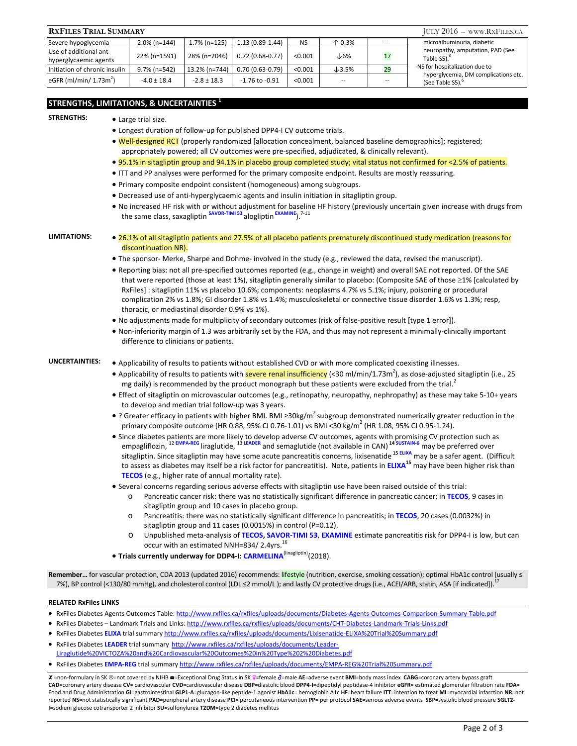| <b>RXFILES TRIAL SUMMARY</b>                    | $JULY 2016 -$ www.RxFiles.ca |                 |                    |           |                   |                          |                                                                                           |
|-------------------------------------------------|------------------------------|-----------------|--------------------|-----------|-------------------|--------------------------|-------------------------------------------------------------------------------------------|
| Severe hypoglycemia                             | $2.0\%$ (n=144)              | $1.7\%$ (n=125) | $1.13(0.89-1.44)$  | <b>NS</b> | $\uparrow$ 0.3%   | $\overline{\phantom{a}}$ | microalbuminuria, diabetic                                                                |
| Use of additional ant-<br>hyperglycaemic agents | 22% (n=1591)                 | 28% (n=2046)    | $0.72(0.68-0.77)$  | < 0.001   | $\downarrow$ 6%   |                          | neuropathy, amputation, PAD (See<br>Table S5). <sup>6</sup>                               |
| Initiation of chronic insulin                   | 9.7% (n=542)                 | 13.2% (n=744)   | $0.70(0.63-0.79)$  | < 0.001   | $\downarrow$ 3.5% | 29                       | -NS for hospitalization due to<br>hyperglycemia, DM complications etc.<br>(See Table S5). |
| eGFR (ml/min/ $1.73m^2$ )                       | $-4.0 \pm 18.4$              | $-2.8 \pm 18.3$ | $-1.76$ to $-0.91$ | < 0.001   | $\qquad \qquad -$ | $- -$                    |                                                                                           |

## **STRENGTHS, LIMITATIONS, & UNCERTAINTIES 1**

### **STRENGTHS:** • Large trial size.

- Longest duration of follow-up for published DPP4-I CV outcome trials.
- Well-designed RCT (properly randomized [allocation concealment, balanced baseline demographics]; registered; appropriately powered; all CV outcomes were pre-specified, adjudicated, & clinically relevant).
- 95.1% in sitagliptin group and 94.1% in placebo group completed study; vital status not confirmed for <2.5% of patients.
- ITT and PP analyses were performed for the primary composite endpoint. Results are mostly reassuring.
- Primary composite endpoint consistent (homogeneous) among subgroups.
- Decreased use of anti-hyperglycaemic agents and insulin initiation in sitagliptin group.
- No increased HF risk with or without adjustment for baseline HF history (previously uncertain given increase with drugs from the same class, saxagliptin **SAVOR-TIMI 53** alogliptin **EXAMINE**).7-11

- **LIMITATIONS:**  26.1% of all sitagliptin patients and 27.5% of all placebo patients prematurely discontinued study medication (reasons for discontinuation NR).
	- The sponsor- Merke, Sharpe and Dohme- involved in the study (e.g., reviewed the data, revised the manuscript).
	- Reporting bias: not all pre-specified outcomes reported (e.g., change in weight) and overall SAE not reported. Of the SAE that were reported (those at least 1%), sitagliptin generally similar to placebo: (Composite SAE of those  $\geq$ 1% [calculated by RxFiles] : sitagliptin 11% vs placebo 10.6%; components: neoplasms 4.7% vs 5.1%; injury, poisoning or procedural complication 2% vs 1.8%; GI disorder 1.8% vs 1.4%; musculoskeletal or connective tissue disorder 1.6% vs 1.3%; resp, thoracic, or mediastinal disorder 0.9% vs 1%).
	- No adjustments made for multiplicity of secondary outcomes (risk of false-positive result [type 1 error]).
	- Non-inferiority margin of 1.3 was arbitrarily set by the FDA, and thus may not represent a minimally-clinically important difference to clinicians or patients.

- UNCERTAINTIES: . Applicability of results to patients without established CVD or with more complicated coexisting illnesses.
	- Applicability of results to patients with **severe renal insufficiency** (<30 ml/min/1.73m<sup>2</sup>), as dose-adjusted sitagliptin (i.e., 25 mg daily) is recommended by the product monograph but these patients were excluded from the trial.<sup>2</sup>
	- Effect of sitagliptin on microvascular outcomes (e.g., retinopathy, neuropathy, nephropathy) as these may take 5-10+ years to develop and median trial follow-up was 3 years.
	- ? Greater efficacy in patients with higher BMI. BMI ≥30kg/m<sup>2</sup> subgroup demonstrated numerically greater reduction in the primary composite outcome (HR 0.88, 95% CI 0.76-1.01) vs BMI <30 kg/m<sup>2</sup> (HR 1.08, 95% CI 0.95-1.24).
	- Since diabetes patients are more likely to develop adverse CV outcomes, agents with promising CV protection such as empagliflozin, <sup>12</sup>**EMPA-REG** liraglutide, <sup>13</sup>**LEADER** and semaglutide (not available in CAN) **14 SUSTAIN-6** may be preferred over sitagliptin. Since sitagliptin may have some acute pancreatitis concerns, lixisenatide **15 ELIXA** may be a safer agent. (Difficult to assess as diabetes may itself be a risk factor for pancreatitis). Note, patients in **ELIXA<sup>15</sup>** may have been higher risk than **TECOS** (e.g., higher rate of annual mortality rate).
	- Several concerns regarding serious adverse effects with sitagliptin use have been raised outside of this trial:
		- o Pancreatic cancer risk: there was no statistically significant difference in pancreatic cancer; in **TECOS**, 9 cases in sitagliptin group and 10 cases in placebo group.
		- o Pancreatitis: there was no statistically significant difference in pancreatitis; in **TECOS**, 20 cases (0.0032%) in sitagliptin group and 11 cases (0.0015%) in control (P=0.12).
		- o Unpublished meta-analysis of **TECOS, SAVOR-TIMI 53**, **EXAMINE** estimate pancreatitis risk for DPP4-I is low, but can occur with an estimated NNH=834/2.4yrs.<sup>16</sup>
	- **Trials currently underway for DDP4-I: CARMELINA<sup>(linagliptin)</sup>(2018).**

Remember... for vascular protection, CDA 2013 (updated 2016) recommends: lifestyle (nutrition, exercise, smoking cessation); optimal HbA1c control (usually ≤ 7%), BP control (<130/80 mmHg), and cholesterol control (LDL ≤2 mmol/L); and lastly CV protective drugs (i.e., ACEI/ARB, statin, ASA [if indicated]).<sup>1</sup>

#### **RELATED RxFiles LINKS**

- · RxFiles Diabetes Agents Outcomes Table: http://www.rxfiles.ca/rxfiles/uploads/documents/Diabetes-Agents-Outcomes-Comparison-Summary-Table.pdf
- RxFiles Diabetes Landmark Trials and Links: http://www.rxfiles.ca/rxfiles/uploads/documents/CHT-Diabetes-Landmark-Trials-Links.pdf
- RxFiles Diabetes **ELIXA** trial summary http://www.rxfiles.ca/rxfiles/uploads/documents/Lixisenatide-ELIXA%20Trial%20Summary.pdf
- RxFiles Diabetes **LEADER** trial summary http://www.rxfiles.ca/rxfiles/uploads/documents/Leader-Liraglutide%20VICTOZA%20and%20Cardiovascular%20Outcomes%20in%20Type%202%20Diabetes.pdf
- RxFiles Diabetes **EMPA-REG** trial summary http://www.rxfiles.ca/rxfiles/uploads/documents/EMPA-REG%20Trial%20Summary.pdf

X =non-formulary in SK <sup>®</sup>=not covered by NIHB <sup>a</sup>=Exceptional Drug Status in SK º=female o<sup>2</sup>=male AE=adverse event BMI=body mass index CABG=coronary artery bypass graft CAD=coronary artery disease CV= cardiovascular CVD=cardiovascular disease DBP=diastolic blood DPP4-I=dipeptidyl peptidase-4 inhibitor eGFR= estimated glomerular filtration rate FDA= Food and Drug Administration GI=gastrointestinal GLP1-A=glucagon-like peptide-1 agonist HbA1c= hemoglobin A1c HF=heart failure ITT=intention to treat MI=myocardial infarction NR=not reported NS=not statistically significant PAD=peripheral artery disease PCI= percutaneous intervention PP= per protocol SAE=serious adverse events SBP=systolic blood pressure SGLT2-**I**=sodium glucose cotransporter 2 inhibitor **SU**=sulfonylurea **T2DM**=type 2 diabetes mellitus